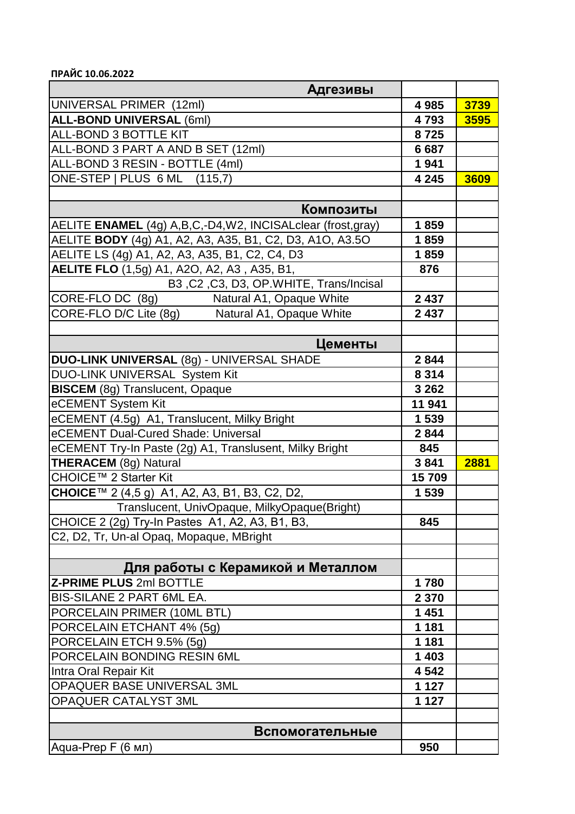**ПРАЙС 10.06.2022**

| <b>Адгезивы</b>                                            |         |      |
|------------------------------------------------------------|---------|------|
| UNIVERSAL PRIMER (12ml)                                    | 4 9 8 5 | 3739 |
| <b>ALL-BOND UNIVERSAL (6ml)</b>                            | 4793    | 3595 |
| ALL-BOND 3 BOTTLE KIT                                      | 8725    |      |
| ALL-BOND 3 PART A AND B SET (12ml)                         | 6687    |      |
| ALL-BOND 3 RESIN - BOTTLE (4ml)                            | 1941    |      |
| ONE-STEP   PLUS 6 ML (115,7)                               | 4 2 4 5 | 3609 |
|                                                            |         |      |
| Композиты                                                  |         |      |
| AELITE ENAMEL (4g) A,B,C,-D4,W2, INCISALclear (frost,gray) | 1859    |      |
| AELITE BODY (4g) A1, A2, A3, A35, B1, C2, D3, A1O, A3.5O   | 1859    |      |
| AELITE LS (4g) A1, A2, A3, A35, B1, C2, C4, D3             | 1859    |      |
| <b>AELITE FLO</b> (1,5g) A1, A2O, A2, A3, A35, B1,         | 876     |      |
| B3, C2, C3, D3, OP. WHITE, Trans/Incisal                   |         |      |
| CORE-FLO DC (8g)<br>Natural A1, Opaque White               | 2 4 3 7 |      |
| CORE-FLO D/C Lite (8g)<br>Natural A1, Opaque White         | 2 4 3 7 |      |
|                                                            |         |      |
| Цементы                                                    |         |      |
| DUO-LINK UNIVERSAL (8g) - UNIVERSAL SHADE                  | 2844    |      |
| DUO-LINK UNIVERSAL System Kit                              | 8 3 1 4 |      |
| <b>BISCEM</b> (8g) Translucent, Opaque                     | 3 2 6 2 |      |
| eCEMENT System Kit                                         | 11 941  |      |
| eCEMENT (4.5g) A1, Translucent, Milky Bright               | 1 5 3 9 |      |
| eCEMENT Dual-Cured Shade: Universal                        | 2844    |      |
| eCEMENT Try-In Paste (2g) A1, Translusent, Milky Bright    | 845     |      |
| <b>THERACEM (8g) Natural</b>                               | 3841    | 2881 |
| CHOICE™ 2 Starter Kit                                      | 15709   |      |
| <b>CHOICE</b> ™ 2 (4,5 g) A1, A2, A3, B1, B3, C2, D2,      | 1539    |      |
| Translucent, UnivOpaque, MilkyOpaque(Bright)               |         |      |
| CHOICE 2 (2g) Try-In Pastes A1, A2, A3, B1, B3,            | 845     |      |
| C2, D2, Tr, Un-al Opaq, Mopaque, MBright                   |         |      |
|                                                            |         |      |
| Для работы с Керамикой и Металлом                          |         |      |
| <b>Z-PRIME PLUS 2ml BOTTLE</b>                             | 1780    |      |
| <b>BIS-SILANE 2 PART 6ML EA.</b>                           | 2 3 7 0 |      |
| PORCELAIN PRIMER (10ML BTL)                                | 1 4 5 1 |      |
| PORCELAIN ETCHANT 4% (5g)                                  | 1 1 8 1 |      |
| PORCELAIN ETCH 9.5% (5g)                                   | 1 1 8 1 |      |
| PORCELAIN BONDING RESIN 6ML                                | 1 4 0 3 |      |
| Intra Oral Repair Kit                                      | 4 5 4 2 |      |
| OPAQUER BASE UNIVERSAL 3ML                                 | 1 1 2 7 |      |
| OPAQUER CATALYST 3ML                                       | 1 1 2 7 |      |
|                                                            |         |      |
| Вспомогательные                                            |         |      |
| Aqua-Prep F (6 мл)                                         | 950     |      |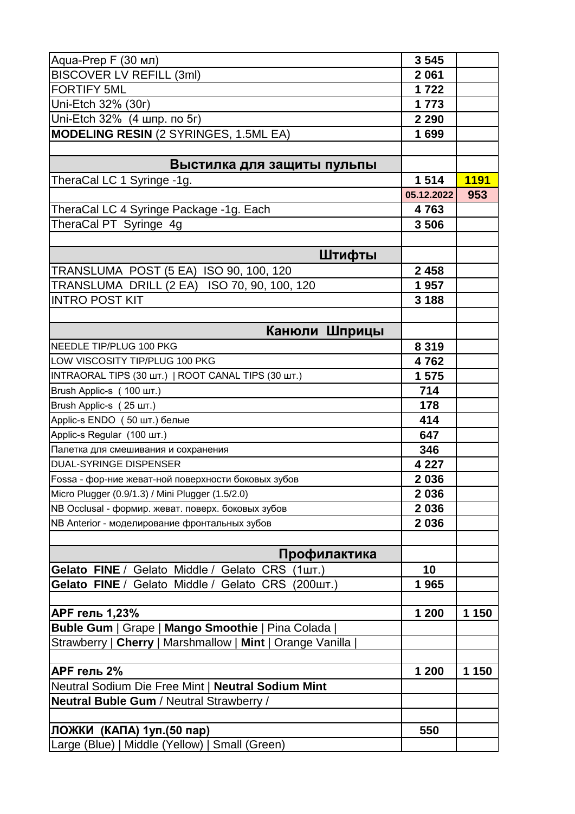| Aqua-Prep F (30 мл)                                             | 3545       |             |
|-----------------------------------------------------------------|------------|-------------|
| <b>BISCOVER LV REFILL (3ml)</b>                                 | 2061       |             |
| <b>FORTIFY 5ML</b>                                              | 1722       |             |
| Uni-Etch 32% (30r)                                              | 1773       |             |
| Uni-Etch 32% (4 шпр. по 5г)                                     | 2 2 9 0    |             |
| <b>MODELING RESIN (2 SYRINGES, 1.5ML EA)</b>                    | 1699       |             |
|                                                                 |            |             |
| Выстилка для защиты пульпы                                      |            |             |
| TheraCal LC 1 Syringe -1g.                                      | 1514       | <b>1191</b> |
|                                                                 | 05.12.2022 | 953         |
| TheraCal LC 4 Syringe Package -1g. Each                         | 4763       |             |
| TheraCal PT Syringe 4g                                          | 3506       |             |
|                                                                 |            |             |
| Штифты                                                          |            |             |
| TRANSLUMA POST (5 EA) ISO 90, 100, 120                          | 2 4 5 8    |             |
| TRANSLUMA DRILL (2 EA) ISO 70, 90, 100, 120                     | 1957       |             |
| <b>INTRO POST KIT</b>                                           | 3 1 8 8    |             |
|                                                                 |            |             |
| Канюли Шприцы                                                   |            |             |
| <b>NEEDLE TIP/PLUG 100 PKG</b>                                  | 8 3 1 9    |             |
| LOW VISCOSITY TIP/PLUG 100 PKG                                  | 4762       |             |
| INTRAORAL TIPS (30 ШТ.)   ROOT CANAL TIPS (30 ШТ.)              | 1575       |             |
| Brush Applic-s (100 шт.)                                        | 714        |             |
| Brush Applic-s (25 шт.)                                         | 178        |             |
| Applic-s ENDO (50 шт.) белые                                    | 414        |             |
| Applic-s Regular (100 шт.)                                      | 647        |             |
| Палетка для смешивания и сохранения                             | 346        |             |
| <b>DUAL-SYRINGE DISPENSER</b>                                   | 4 2 2 7    |             |
| Fossa - фор-ние жеват-ной поверхности боковых зубов             | 2036       |             |
| Micro Plugger (0.9/1.3) / Mini Plugger (1.5/2.0)                | 2036       |             |
| NB Occlusal - формир. жеват. поверх. боковых зубов              | 2036       |             |
| NB Anterior - моделирование фронтальных зубов                   | 2036       |             |
|                                                                 |            |             |
| Профилактика                                                    |            |             |
| Gelato FINE / Gelato Middle / Gelato CRS<br>(1 <sub>III</sub> ) | 10         |             |
| Gelato FINE / Gelato Middle / Gelato CRS<br>$(200 \text{mT.})$  | 1965       |             |
|                                                                 |            |             |
| АРГ гель 1,23%                                                  | 1 200      | 1 150       |
| Buble Gum   Grape   Mango Smoothie   Pina Colada                |            |             |
| Strawberry   Cherry   Marshmallow   Mint   Orange Vanilla       |            |             |
|                                                                 |            |             |
| АРГ гель 2%                                                     | 1 200      | 1 150       |
| Neutral Sodium Die Free Mint   Neutral Sodium Mint              |            |             |
| Neutral Buble Gum / Neutral Strawberry /                        |            |             |
|                                                                 |            |             |
| ЛОЖКИ (КАПА) 1уп. (50 пар)                                      | 550        |             |
| Large (Blue)   Middle (Yellow)   Small (Green)                  |            |             |